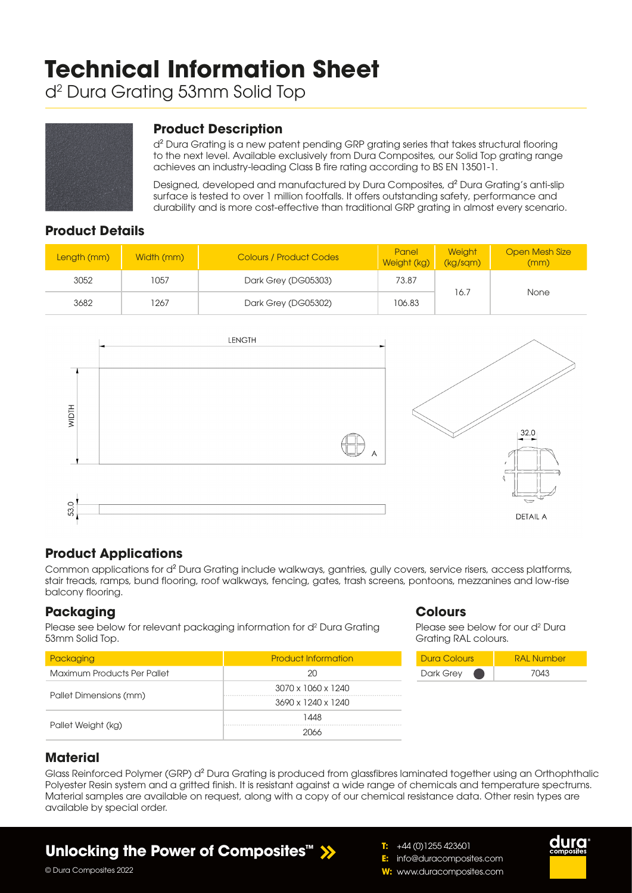# **Technical Information Sheet**

d2 Dura Grating 53mm Solid Top



#### **Product Description**

d² Dura Grating is a new patent pending GRP grating series that takes structural flooring to the next level. Available exclusively from Dura Composites, our Solid Top grating range achieves an industry-leading Class B fire rating according to BS EN 13501-1.

Designed, developed and manufactured by Dura Composites, d² Dura Grating's anti-slip surface is tested to over 1 million footfalls. It offers outstanding safety, performance and durability and is more cost-effective than traditional GRP grating in almost every scenario.

#### **Product Details**

| Length (mm) | Width (mm) | <b>Colours / Product Codes</b> | Panel<br>Weight (kg) | Weight<br>(kg/sgm) | <b>Open Mesh Size</b><br>(mm) |
|-------------|------------|--------------------------------|----------------------|--------------------|-------------------------------|
| 3052        | 1057       | Dark Grey (DG05303)            | 73.87                |                    |                               |
| 3682        | 1267       | Dark Grey (DG05302)            | 106.83               | 16.7               | None                          |



### **Product Applications**

Common applications for d² Dura Grating include walkways, gantries, gully covers, service risers, access platforms, stair treads, ramps, bund flooring, roof walkways, fencing, gates, trash screens, pontoons, mezzanines and low-rise balcony flooring.

#### **Packaging**

Please see below for relevant packaging information for d<sup>2</sup> Dura Grating 53mm Solid Top.

| Packaging                   | <b>Product Information</b> |  |  |  |
|-----------------------------|----------------------------|--|--|--|
| Maximum Products Per Pallet | 20                         |  |  |  |
|                             | 3070 x 1060 x 1240         |  |  |  |
| Pallet Dimensions (mm)      | 3690 x 1240 x 1240         |  |  |  |
|                             | 1448                       |  |  |  |
| Pallet Weight (kg)          | 2066                       |  |  |  |

#### **Colours**

Please see below for our d<sup>2</sup> Dura Grating RAL colours.



# **Material**

© Dura Composites 2022

Glass Reinforced Polymer (GRP) d<sup>2</sup> Dura Grating is produced from glassfibres laminated together using an Orthophthalic Polyester Resin system and a gritted finish. It is resistant against a wide range of chemicals and temperature spectrums. Material samples are available on request, along with a copy of our chemical resistance data. Other resin types are available by special order.

# **Unlocking the Power of Composites™**

**T:** +44 (0)1255 423601 **E:** info@duracomposites.com **W:** www.duracomposites.com